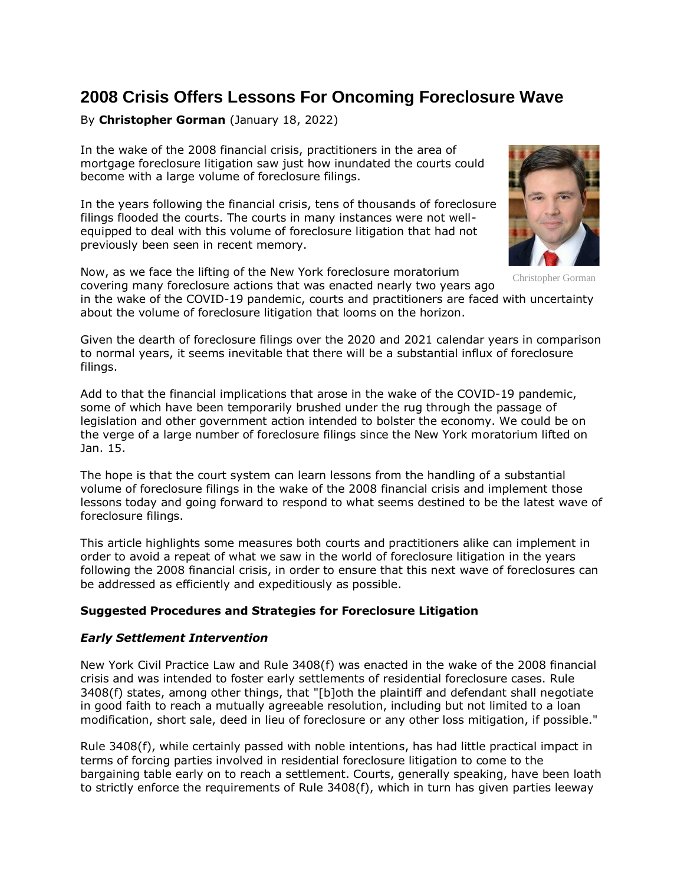# **2008 Crisis Offers Lessons For Oncoming Foreclosure Wave**

# By **Christopher Gorman** (January 18, 2022)

In the wake of the 2008 financial crisis, practitioners in the area of mortgage foreclosure litigation saw just how inundated the courts could become with a large volume of foreclosure filings.

In the years following the financial crisis, tens of thousands of foreclosure filings flooded the courts. The courts in many instances were not wellequipped to deal with this volume of foreclosure litigation that had not previously been seen in recent memory.

Now, as we face the lifting of the New York foreclosure moratorium covering many foreclosure actions that was enacted nearly two years ago



Christopher Gorman

in the wake of the COVID-19 pandemic, courts and practitioners are faced with uncertainty about the volume of foreclosure litigation that looms on the horizon.

Given the dearth of foreclosure filings over the 2020 and 2021 calendar years in comparison to normal years, it seems inevitable that there will be a substantial influx of foreclosure filings.

Add to that the financial implications that arose in the wake of the COVID-19 pandemic, some of which have been temporarily brushed under the rug through the passage of legislation and other government action intended to bolster the economy. We could be on the verge of a large number of foreclosure filings since the New York moratorium lifted on Jan. 15.

The hope is that the court system can learn lessons from the handling of a substantial volume of foreclosure filings in the wake of the 2008 financial crisis and implement those lessons today and going forward to respond to what seems destined to be the latest wave of foreclosure filings.

This article highlights some measures both courts and practitioners alike can implement in order to avoid a repeat of what we saw in the world of foreclosure litigation in the years following the 2008 financial crisis, in order to ensure that this next wave of foreclosures can be addressed as efficiently and expeditiously as possible.

# **Suggested Procedures and Strategies for Foreclosure Litigation**

# *Early Settlement Intervention*

New York Civil Practice Law and Rule 3408(f) was enacted in the wake of the 2008 financial crisis and was intended to foster early settlements of residential foreclosure cases. Rule 3408(f) states, among other things, that "[b]oth the plaintiff and defendant shall negotiate in good faith to reach a mutually agreeable resolution, including but not limited to a loan modification, short sale, deed in lieu of foreclosure or any other loss mitigation, if possible."

Rule 3408(f), while certainly passed with noble intentions, has had little practical impact in terms of forcing parties involved in residential foreclosure litigation to come to the bargaining table early on to reach a settlement. Courts, generally speaking, have been loath to strictly enforce the requirements of Rule 3408(f), which in turn has given parties leeway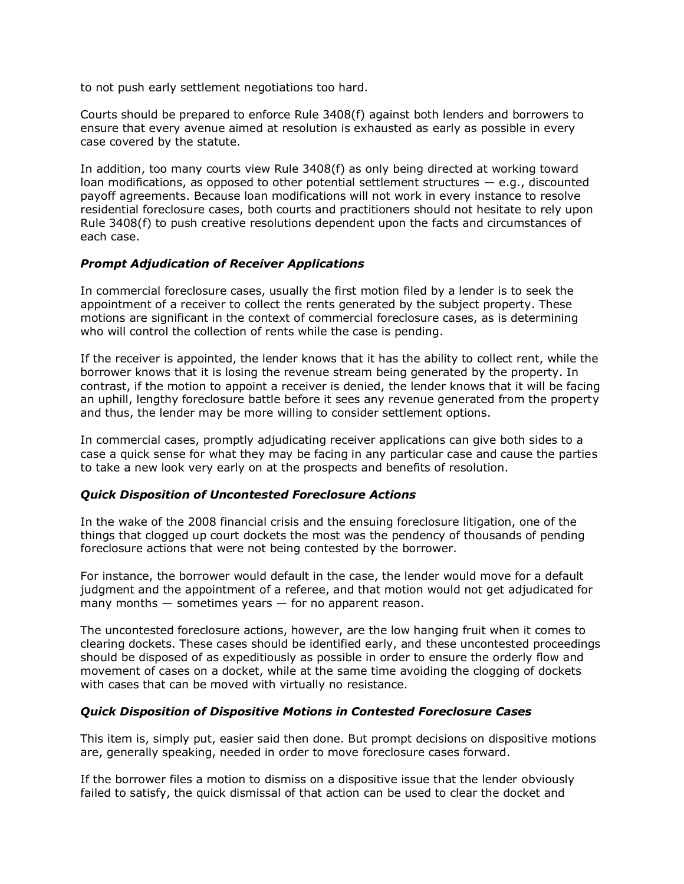to not push early settlement negotiations too hard.

Courts should be prepared to enforce Rule 3408(f) against both lenders and borrowers to ensure that every avenue aimed at resolution is exhausted as early as possible in every case covered by the statute.

In addition, too many courts view Rule 3408(f) as only being directed at working toward loan modifications, as opposed to other potential settlement structures  $-$  e.g., discounted payoff agreements. Because loan modifications will not work in every instance to resolve residential foreclosure cases, both courts and practitioners should not hesitate to rely upon Rule 3408(f) to push creative resolutions dependent upon the facts and circumstances of each case.

## *Prompt Adjudication of Receiver Applications*

In commercial foreclosure cases, usually the first motion filed by a lender is to seek the appointment of a receiver to collect the rents generated by the subject property. These motions are significant in the context of commercial foreclosure cases, as is determining who will control the collection of rents while the case is pending.

If the receiver is appointed, the lender knows that it has the ability to collect rent, while the borrower knows that it is losing the revenue stream being generated by the property. In contrast, if the motion to appoint a receiver is denied, the lender knows that it will be facing an uphill, lengthy foreclosure battle before it sees any revenue generated from the property and thus, the lender may be more willing to consider settlement options.

In commercial cases, promptly adjudicating receiver applications can give both sides to a case a quick sense for what they may be facing in any particular case and cause the parties to take a new look very early on at the prospects and benefits of resolution.

#### *Quick Disposition of Uncontested Foreclosure Actions*

In the wake of the 2008 financial crisis and the ensuing foreclosure litigation, one of the things that clogged up court dockets the most was the pendency of thousands of pending foreclosure actions that were not being contested by the borrower.

For instance, the borrower would default in the case, the lender would move for a default judgment and the appointment of a referee, and that motion would not get adjudicated for many months  $-$  sometimes years  $-$  for no apparent reason.

The uncontested foreclosure actions, however, are the low hanging fruit when it comes to clearing dockets. These cases should be identified early, and these uncontested proceedings should be disposed of as expeditiously as possible in order to ensure the orderly flow and movement of cases on a docket, while at the same time avoiding the clogging of dockets with cases that can be moved with virtually no resistance.

#### *Quick Disposition of Dispositive Motions in Contested Foreclosure Cases*

This item is, simply put, easier said then done. But prompt decisions on dispositive motions are, generally speaking, needed in order to move foreclosure cases forward.

If the borrower files a motion to dismiss on a dispositive issue that the lender obviously failed to satisfy, the quick dismissal of that action can be used to clear the docket and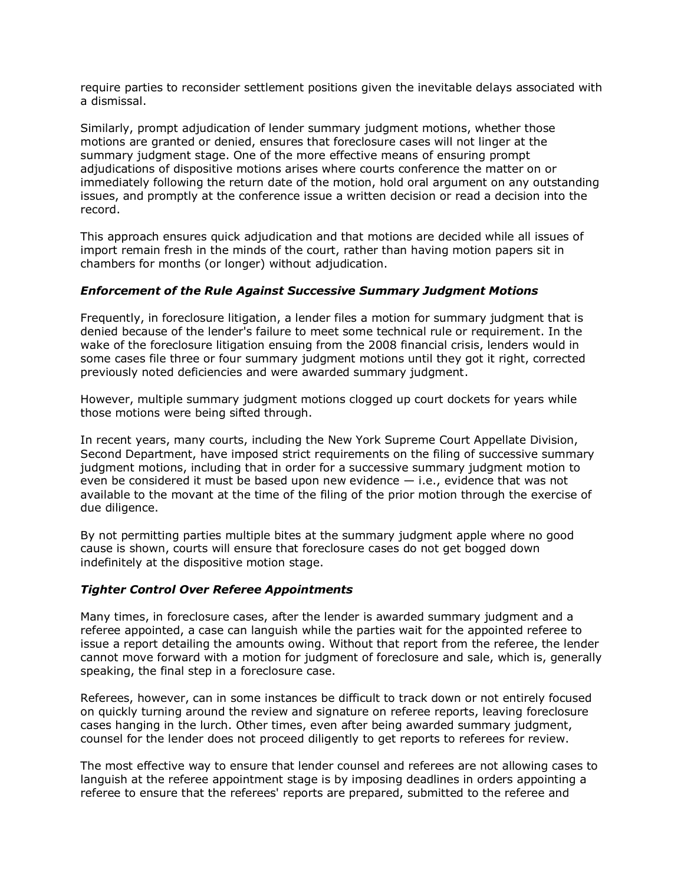require parties to reconsider settlement positions given the inevitable delays associated with a dismissal.

Similarly, prompt adjudication of lender summary judgment motions, whether those motions are granted or denied, ensures that foreclosure cases will not linger at the summary judgment stage. One of the more effective means of ensuring prompt adjudications of dispositive motions arises where courts conference the matter on or immediately following the return date of the motion, hold oral argument on any outstanding issues, and promptly at the conference issue a written decision or read a decision into the record.

This approach ensures quick adjudication and that motions are decided while all issues of import remain fresh in the minds of the court, rather than having motion papers sit in chambers for months (or longer) without adjudication.

#### *Enforcement of the Rule Against Successive Summary Judgment Motions*

Frequently, in foreclosure litigation, a lender files a motion for summary judgment that is denied because of the lender's failure to meet some technical rule or requirement. In the wake of the foreclosure litigation ensuing from the 2008 financial crisis, lenders would in some cases file three or four summary judgment motions until they got it right, corrected previously noted deficiencies and were awarded summary judgment.

However, multiple summary judgment motions clogged up court dockets for years while those motions were being sifted through.

In recent years, many courts, including the New York Supreme Court Appellate Division, Second Department, have imposed strict requirements on the filing of successive summary judgment motions, including that in order for a successive summary judgment motion to even be considered it must be based upon new evidence  $-$  i.e., evidence that was not available to the movant at the time of the filing of the prior motion through the exercise of due diligence.

By not permitting parties multiple bites at the summary judgment apple where no good cause is shown, courts will ensure that foreclosure cases do not get bogged down indefinitely at the dispositive motion stage.

# *Tighter Control Over Referee Appointments*

Many times, in foreclosure cases, after the lender is awarded summary judgment and a referee appointed, a case can languish while the parties wait for the appointed referee to issue a report detailing the amounts owing. Without that report from the referee, the lender cannot move forward with a motion for judgment of foreclosure and sale, which is, generally speaking, the final step in a foreclosure case.

Referees, however, can in some instances be difficult to track down or not entirely focused on quickly turning around the review and signature on referee reports, leaving foreclosure cases hanging in the lurch. Other times, even after being awarded summary judgment, counsel for the lender does not proceed diligently to get reports to referees for review.

The most effective way to ensure that lender counsel and referees are not allowing cases to languish at the referee appointment stage is by imposing deadlines in orders appointing a referee to ensure that the referees' reports are prepared, submitted to the referee and